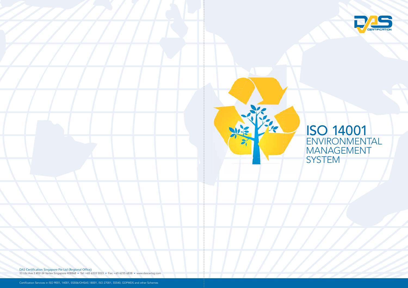

DAS Certification Singapore Pte Ltd (Regional Office)

33 Ubi Ave 3 #02-34 Vertex Singapore 408868 • Tel: +65 6333 5023 • Fax: +65 6235 6838 • www.dascertsg.com



## ISO 14001 ENVIRONMENTAL MANAGEMENT SYSTEM